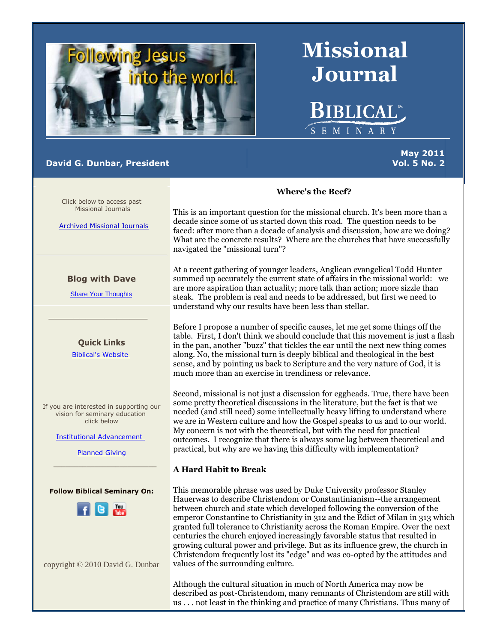

## **David G. Dunbar, President**

# **Missional Journal**

**BIBLICAL**\*

SEMINAR

**May 2011 Vol. 5 No. 2**

Click below to access past Missional Journals

[Archived Missional Journals](http://rs6.net/tn.jsp?et=1102921068149&s=0&e=001ft3-JrYJytuKOMg5OzqeBQhwmSJ4IfEpM2wEYJIn_I1SuohOMsrquzTvXonIT4mUWobRUyJiU2KPQvrr1pS5weX3NRP_CoepEi2OrppCDsUas-rJIdDKrl25REynnC4WiQobGVHZKxYUftQK-TxrWL9zD5czo3pT-I2iX8qpxVg=)

## **Blog with Dave**

[Share Your Thoughts](http://rs6.net/tn.jsp?et=1102921068149&s=0&e=001ft3-JrYJytuKOMg5OzqeBQhwmSJ4IfEpM2wEYJIn_I1SuohOMsrquzTvXonIT4mUR-9-2sH9aPIKGQGI_YRjiCYZn0qACEZcGmJHyDKhRFrdnKzVbKdlxviAxu_m-ji7jePD-lOH1Hg=)

\_\_\_\_\_\_\_\_\_\_\_\_\_\_\_\_

**Quick Links** [Biblical's Website](http://rs6.net/tn.jsp?et=1102921068149&s=0&e=001ft3-JrYJytuKOMg5OzqeBQhwmSJ4IfEpM2wEYJIn_I1SuohOMsrquzTvXonIT4mUWobRUyJiU2KPQvrr1pS5we-Mmi-trt--wyhD8etSivtdbuD7WwPxFw==)

If you are interested in supporting our vision for seminary education click below

[Institutional Advancement](http://rs6.net/tn.jsp?et=1102921068149&s=0&e=001ft3-JrYJytuKOMg5OzqeBQhwmSJ4IfEpM2wEYJIn_I1SuohOMsrquzTvXonIT4mUWobRUyJiU2KPQvrr1pS5wb2QLcuVxGk-v007lq1OgOCYN4JJ0CbTtMe3v2FY7GDLBzQxTGOP6FmCUeahApFoUg==)

[Planned Giving](http://rs6.net/tn.jsp?et=1102921068149&s=0&e=001ft3-JrYJytuKOMg5OzqeBQhwmSJ4IfEpM2wEYJIn_I1SuohOMsrquzTvXonIT4mUWobRUyJiU2KPQvrr1pS5wb2QLcuVxGk-v007lq1OgOD1xryB-9RlNf22PRULKDPoroeGSczonn_AhOLYfn0pyw==)  $\mathcal{L}_\text{max}$  , and the set of the set of the set of the set of the set of the set of the set of the set of the set of the set of the set of the set of the set of the set of the set of the set of the set of the set of the





copyright © 2010 David G. Dunbar

## **Where's the Beef?**

This is an important question for the missional church. It's been more than a decade since some of us started down this road. The question needs to be faced: after more than a decade of analysis and discussion, how are we doing? What are the concrete results? Where are the churches that have successfully navigated the "missional turn"?

At a recent gathering of younger leaders, Anglican evangelical Todd Hunter summed up accurately the current state of affairs in the missional world: we are more aspiration than actuality; more talk than action; more sizzle than steak. The problem is real and needs to be addressed, but first we need to understand why our results have been less than stellar.

Before I propose a number of specific causes, let me get some things off the table. First, I don't think we should conclude that this movement is just a flash in the pan, another "buzz" that tickles the ear until the next new thing comes along. No, the missional turn is deeply biblical and theological in the best sense, and by pointing us back to Scripture and the very nature of God, it is much more than an exercise in trendiness or relevance.

Second, missional is not just a discussion for eggheads. True, there have been some pretty theoretical discussions in the literature, but the fact is that we needed (and still need) some intellectually heavy lifting to understand where we are in Western culture and how the Gospel speaks to us and to our world. My concern is not with the theoretical, but with the need for practical outcomes. I recognize that there is always some lag between theoretical and practical, but why are we having this difficulty with implementation?

## **A Hard Habit to Break**

This memorable phrase was used by Duke University professor Stanley Hauerwas to describe Christendom or Constantinianism--the arrangement between church and state which developed following the conversion of the emperor Constantine to Christianity in 312 and the Edict of Milan in 313 which granted full tolerance to Christianity across the Roman Empire. Over the next centuries the church enjoyed increasingly favorable status that resulted in growing cultural power and privilege. But as its influence grew, the church in Christendom frequently lost its "edge" and was co-opted by the attitudes and values of the surrounding culture.

Although the cultural situation in much of North America may now be described as post-Christendom, many remnants of Christendom are still with us . . . not least in the thinking and practice of many Christians. Thus many of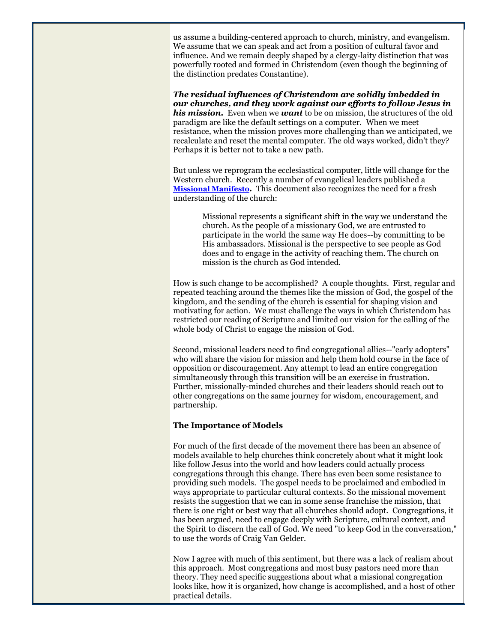us assume a building-centered approach to church, ministry, and evangelism. We assume that we can speak and act from a position of cultural favor and influence. And we remain deeply shaped by a clergy-laity distinction that was powerfully rooted and formed in Christendom (even though the beginning of the distinction predates Constantine).

*The residual influences of Christendom are solidly imbedded in our churches, and they work against our efforts to follow Jesus in his mission.* Even when we *want* to be on mission, the structures of the old paradigm are like the default settings on a computer. When we meet resistance, when the mission proves more challenging than we anticipated, we recalculate and reset the mental computer. The old ways worked, didn't they? Perhaps it is better not to take a new path.

But unless we reprogram the ecclesiastical computer, little will change for the Western church. Recently a number of evangelical leaders published a **[Missional Manifesto](http://r20.rs6.net/tn.jsp?llr=fgnv77bab&et=1105402841996&s=0&e=001DDXE63Yw6Gt2HutsVHv6O2-YDMkZMoW-LVD7sisArI2Od872F73C4qGvR9sKsGzO6YddRpvxrUFWKI_pEpVP-iTv-hHbpiOMgSct9Nn5Qdxe6kPtQ-jp1A==)***.* This document also recognizes the need for a fresh understanding of the church:

> Missional represents a significant shift in the way we understand the church. As the people of a missionary God, we are entrusted to participate in the world the same way He does--by committing to be His ambassadors. Missional is the perspective to see people as God does and to engage in the activity of reaching them. The church on mission is the church as God intended.

How is such change to be accomplished? A couple thoughts. First, regular and repeated teaching around the themes like the mission of God, the gospel of the kingdom, and the sending of the church is essential for shaping vision and motivating for action. We must challenge the ways in which Christendom has restricted our reading of Scripture and limited our vision for the calling of the whole body of Christ to engage the mission of God.

Second, missional leaders need to find congregational allies--"early adopters" who will share the vision for mission and help them hold course in the face of opposition or discouragement. Any attempt to lead an entire congregation simultaneously through this transition will be an exercise in frustration. Further, missionally-minded churches and their leaders should reach out to other congregations on the same journey for wisdom, encouragement, and partnership.

## **The Importance of Models**

For much of the first decade of the movement there has been an absence of models available to help churches think concretely about what it might look like follow Jesus into the world and how leaders could actually process congregations through this change. There has even been some resistance to providing such models. The gospel needs to be proclaimed and embodied in ways appropriate to particular cultural contexts. So the missional movement resists the suggestion that we can in some sense franchise the mission, that there is one right or best way that all churches should adopt. Congregations, it has been argued, need to engage deeply with Scripture, cultural context, and the Spirit to discern the call of God. We need "to keep God in the conversation," to use the words of Craig Van Gelder.

Now I agree with much of this sentiment, but there was a lack of realism about this approach. Most congregations and most busy pastors need more than theory. They need specific suggestions about what a missional congregation looks like, how it is organized, how change is accomplished, and a host of other practical details.